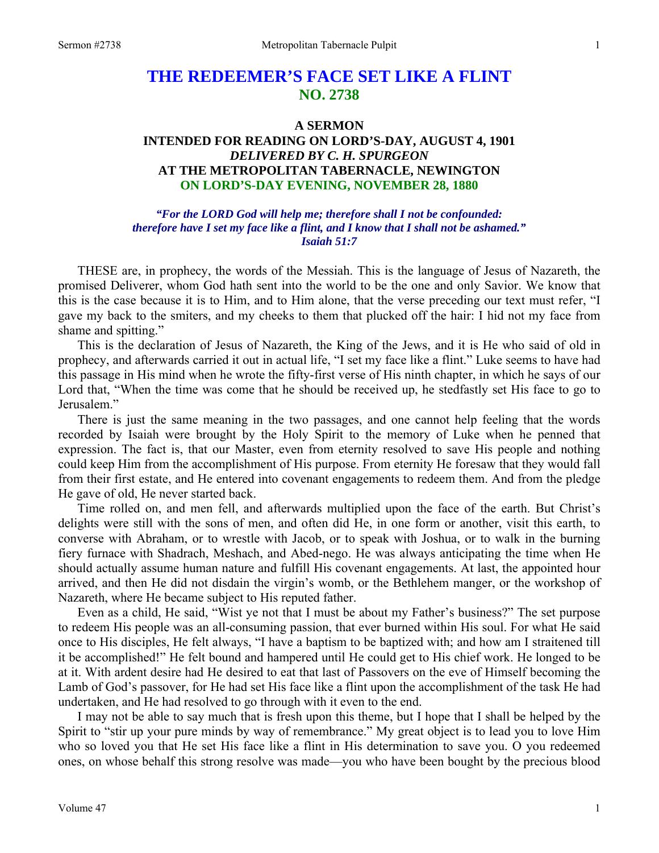# **THE REDEEMER'S FACE SET LIKE A FLINT NO. 2738**

### **A SERMON**

# **INTENDED FOR READING ON LORD'S-DAY, AUGUST 4, 1901**  *DELIVERED BY C. H. SPURGEON*  **AT THE METROPOLITAN TABERNACLE, NEWINGTON ON LORD'S-DAY EVENING, NOVEMBER 28, 1880**

*"For the LORD God will help me; therefore shall I not be confounded: therefore have I set my face like a flint, and I know that I shall not be ashamed." Isaiah 51:7* 

THESE are, in prophecy, the words of the Messiah. This is the language of Jesus of Nazareth, the promised Deliverer, whom God hath sent into the world to be the one and only Savior. We know that this is the case because it is to Him, and to Him alone, that the verse preceding our text must refer, "I gave my back to the smiters, and my cheeks to them that plucked off the hair: I hid not my face from shame and spitting."

This is the declaration of Jesus of Nazareth, the King of the Jews, and it is He who said of old in prophecy, and afterwards carried it out in actual life, "I set my face like a flint." Luke seems to have had this passage in His mind when he wrote the fifty-first verse of His ninth chapter, in which he says of our Lord that, "When the time was come that he should be received up, he stedfastly set His face to go to Jerusalem."

There is just the same meaning in the two passages, and one cannot help feeling that the words recorded by Isaiah were brought by the Holy Spirit to the memory of Luke when he penned that expression. The fact is, that our Master, even from eternity resolved to save His people and nothing could keep Him from the accomplishment of His purpose. From eternity He foresaw that they would fall from their first estate, and He entered into covenant engagements to redeem them. And from the pledge He gave of old, He never started back.

Time rolled on, and men fell, and afterwards multiplied upon the face of the earth. But Christ's delights were still with the sons of men, and often did He, in one form or another, visit this earth, to converse with Abraham, or to wrestle with Jacob, or to speak with Joshua, or to walk in the burning fiery furnace with Shadrach, Meshach, and Abed-nego. He was always anticipating the time when He should actually assume human nature and fulfill His covenant engagements. At last, the appointed hour arrived, and then He did not disdain the virgin's womb, or the Bethlehem manger, or the workshop of Nazareth, where He became subject to His reputed father.

Even as a child, He said, "Wist ye not that I must be about my Father's business?" The set purpose to redeem His people was an all-consuming passion, that ever burned within His soul. For what He said once to His disciples, He felt always, "I have a baptism to be baptized with; and how am I straitened till it be accomplished!" He felt bound and hampered until He could get to His chief work. He longed to be at it. With ardent desire had He desired to eat that last of Passovers on the eve of Himself becoming the Lamb of God's passover, for He had set His face like a flint upon the accomplishment of the task He had undertaken, and He had resolved to go through with it even to the end.

I may not be able to say much that is fresh upon this theme, but I hope that I shall be helped by the Spirit to "stir up your pure minds by way of remembrance." My great object is to lead you to love Him who so loved you that He set His face like a flint in His determination to save you. O you redeemed ones, on whose behalf this strong resolve was made—you who have been bought by the precious blood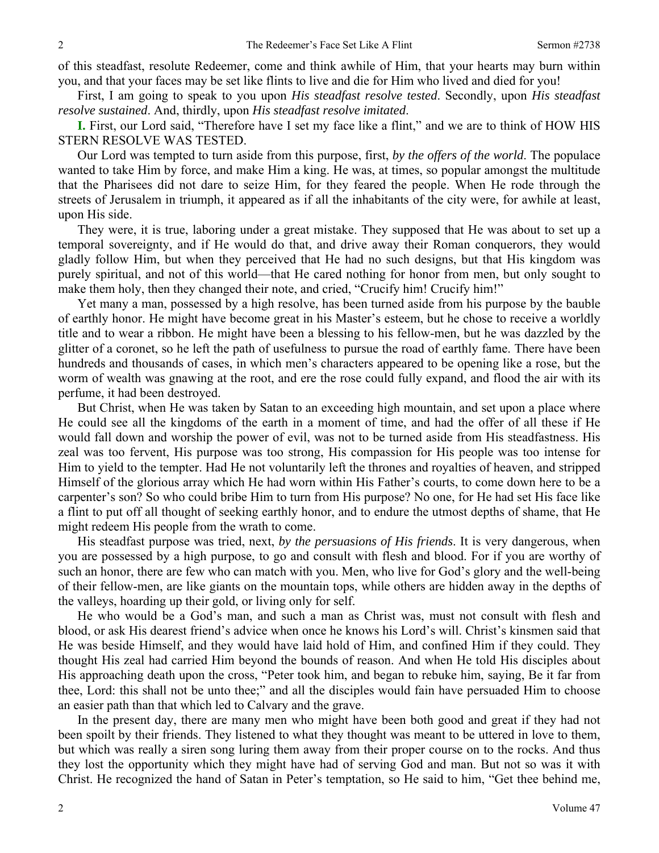of this steadfast, resolute Redeemer, come and think awhile of Him, that your hearts may burn within you, and that your faces may be set like flints to live and die for Him who lived and died for you!

First, I am going to speak to you upon *His steadfast resolve tested*. Secondly, upon *His steadfast resolve sustained*. And, thirdly, upon *His steadfast resolve imitated*.

**I.** First, our Lord said, "Therefore have I set my face like a flint," and we are to think of HOW HIS STERN RESOLVE WAS TESTED.

Our Lord was tempted to turn aside from this purpose, first, *by the offers of the world*. The populace wanted to take Him by force, and make Him a king. He was, at times, so popular amongst the multitude that the Pharisees did not dare to seize Him, for they feared the people. When He rode through the streets of Jerusalem in triumph, it appeared as if all the inhabitants of the city were, for awhile at least, upon His side.

They were, it is true, laboring under a great mistake. They supposed that He was about to set up a temporal sovereignty, and if He would do that, and drive away their Roman conquerors, they would gladly follow Him, but when they perceived that He had no such designs, but that His kingdom was purely spiritual, and not of this world—that He cared nothing for honor from men, but only sought to make them holy, then they changed their note, and cried, "Crucify him! Crucify him!"

Yet many a man, possessed by a high resolve, has been turned aside from his purpose by the bauble of earthly honor. He might have become great in his Master's esteem, but he chose to receive a worldly title and to wear a ribbon. He might have been a blessing to his fellow-men, but he was dazzled by the glitter of a coronet, so he left the path of usefulness to pursue the road of earthly fame. There have been hundreds and thousands of cases, in which men's characters appeared to be opening like a rose, but the worm of wealth was gnawing at the root, and ere the rose could fully expand, and flood the air with its perfume, it had been destroyed.

But Christ, when He was taken by Satan to an exceeding high mountain, and set upon a place where He could see all the kingdoms of the earth in a moment of time, and had the offer of all these if He would fall down and worship the power of evil, was not to be turned aside from His steadfastness. His zeal was too fervent, His purpose was too strong, His compassion for His people was too intense for Him to yield to the tempter. Had He not voluntarily left the thrones and royalties of heaven, and stripped Himself of the glorious array which He had worn within His Father's courts, to come down here to be a carpenter's son? So who could bribe Him to turn from His purpose? No one, for He had set His face like a flint to put off all thought of seeking earthly honor, and to endure the utmost depths of shame, that He might redeem His people from the wrath to come.

His steadfast purpose was tried, next, *by the persuasions of His friends*. It is very dangerous, when you are possessed by a high purpose, to go and consult with flesh and blood. For if you are worthy of such an honor, there are few who can match with you. Men, who live for God's glory and the well-being of their fellow-men, are like giants on the mountain tops, while others are hidden away in the depths of the valleys, hoarding up their gold, or living only for self.

He who would be a God's man, and such a man as Christ was, must not consult with flesh and blood, or ask His dearest friend's advice when once he knows his Lord's will. Christ's kinsmen said that He was beside Himself, and they would have laid hold of Him, and confined Him if they could. They thought His zeal had carried Him beyond the bounds of reason. And when He told His disciples about His approaching death upon the cross, "Peter took him, and began to rebuke him, saying, Be it far from thee, Lord: this shall not be unto thee;" and all the disciples would fain have persuaded Him to choose an easier path than that which led to Calvary and the grave.

In the present day, there are many men who might have been both good and great if they had not been spoilt by their friends. They listened to what they thought was meant to be uttered in love to them, but which was really a siren song luring them away from their proper course on to the rocks. And thus they lost the opportunity which they might have had of serving God and man. But not so was it with Christ. He recognized the hand of Satan in Peter's temptation, so He said to him, "Get thee behind me,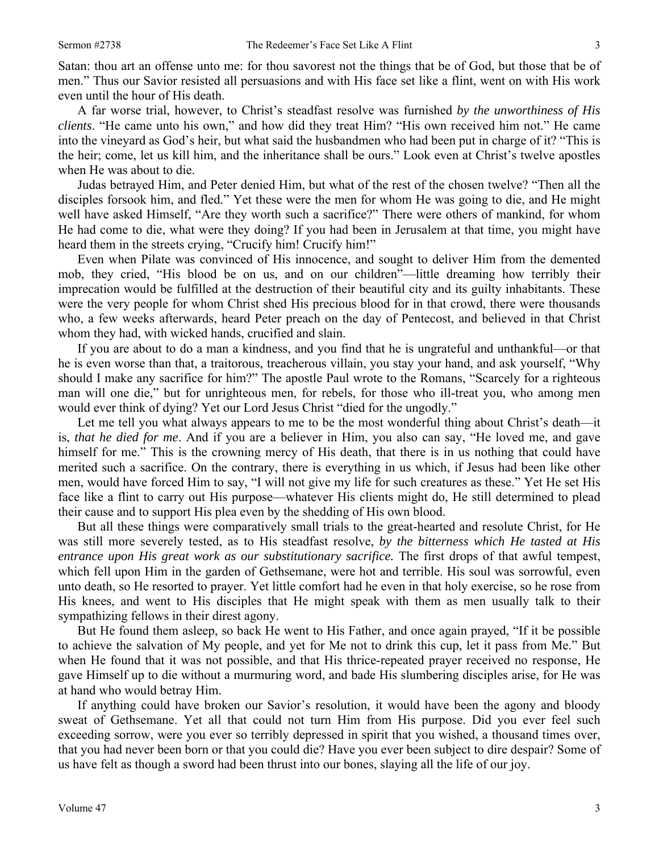Satan: thou art an offense unto me: for thou savorest not the things that be of God, but those that be of men." Thus our Savior resisted all persuasions and with His face set like a flint, went on with His work even until the hour of His death.

A far worse trial, however, to Christ's steadfast resolve was furnished *by the unworthiness of His clients*. "He came unto his own," and how did they treat Him? "His own received him not." He came into the vineyard as God's heir, but what said the husbandmen who had been put in charge of it? "This is the heir; come, let us kill him, and the inheritance shall be ours." Look even at Christ's twelve apostles when He was about to die.

Judas betrayed Him, and Peter denied Him, but what of the rest of the chosen twelve? "Then all the disciples forsook him, and fled." Yet these were the men for whom He was going to die, and He might well have asked Himself, "Are they worth such a sacrifice?" There were others of mankind, for whom He had come to die, what were they doing? If you had been in Jerusalem at that time, you might have heard them in the streets crying, "Crucify him! Crucify him!"

Even when Pilate was convinced of His innocence, and sought to deliver Him from the demented mob, they cried, "His blood be on us, and on our children"—little dreaming how terribly their imprecation would be fulfilled at the destruction of their beautiful city and its guilty inhabitants. These were the very people for whom Christ shed His precious blood for in that crowd, there were thousands who, a few weeks afterwards, heard Peter preach on the day of Pentecost, and believed in that Christ whom they had, with wicked hands, crucified and slain.

If you are about to do a man a kindness, and you find that he is ungrateful and unthankful—or that he is even worse than that, a traitorous, treacherous villain, you stay your hand, and ask yourself, "Why should I make any sacrifice for him?" The apostle Paul wrote to the Romans, "Scarcely for a righteous man will one die," but for unrighteous men, for rebels, for those who ill-treat you, who among men would ever think of dying? Yet our Lord Jesus Christ "died for the ungodly."

Let me tell you what always appears to me to be the most wonderful thing about Christ's death—it is, *that he died for me*. And if you are a believer in Him, you also can say, "He loved me, and gave himself for me." This is the crowning mercy of His death, that there is in us nothing that could have merited such a sacrifice. On the contrary, there is everything in us which, if Jesus had been like other men, would have forced Him to say, "I will not give my life for such creatures as these." Yet He set His face like a flint to carry out His purpose—whatever His clients might do, He still determined to plead their cause and to support His plea even by the shedding of His own blood.

But all these things were comparatively small trials to the great-hearted and resolute Christ, for He was still more severely tested, as to His steadfast resolve, *by the bitterness which He tasted at His entrance upon His great work as our substitutionary sacrifice.* The first drops of that awful tempest, which fell upon Him in the garden of Gethsemane, were hot and terrible. His soul was sorrowful, even unto death, so He resorted to prayer. Yet little comfort had he even in that holy exercise, so he rose from His knees, and went to His disciples that He might speak with them as men usually talk to their sympathizing fellows in their direst agony.

But He found them asleep, so back He went to His Father, and once again prayed, "If it be possible to achieve the salvation of My people, and yet for Me not to drink this cup, let it pass from Me." But when He found that it was not possible, and that His thrice-repeated prayer received no response, He gave Himself up to die without a murmuring word, and bade His slumbering disciples arise, for He was at hand who would betray Him.

If anything could have broken our Savior's resolution, it would have been the agony and bloody sweat of Gethsemane. Yet all that could not turn Him from His purpose. Did you ever feel such exceeding sorrow, were you ever so terribly depressed in spirit that you wished, a thousand times over, that you had never been born or that you could die? Have you ever been subject to dire despair? Some of us have felt as though a sword had been thrust into our bones, slaying all the life of our joy.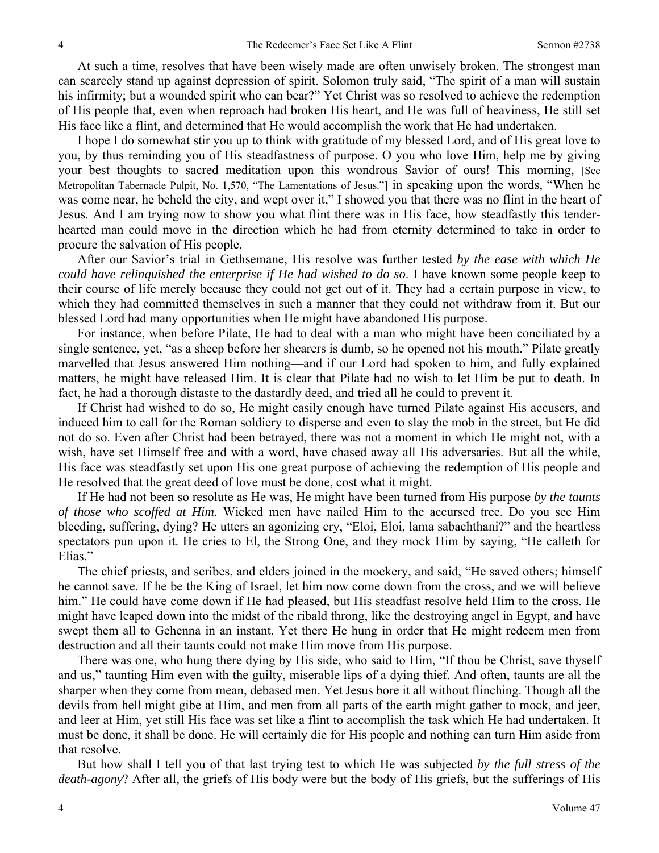At such a time, resolves that have been wisely made are often unwisely broken. The strongest man can scarcely stand up against depression of spirit. Solomon truly said, "The spirit of a man will sustain his infirmity; but a wounded spirit who can bear?" Yet Christ was so resolved to achieve the redemption of His people that, even when reproach had broken His heart, and He was full of heaviness, He still set His face like a flint, and determined that He would accomplish the work that He had undertaken.

I hope I do somewhat stir you up to think with gratitude of my blessed Lord, and of His great love to you, by thus reminding you of His steadfastness of purpose. O you who love Him, help me by giving your best thoughts to sacred meditation upon this wondrous Savior of ours! This morning, [See Metropolitan Tabernacle Pulpit, No. 1,570, "The Lamentations of Jesus."] in speaking upon the words, "When he was come near, he beheld the city, and wept over it," I showed you that there was no flint in the heart of Jesus. And I am trying now to show you what flint there was in His face, how steadfastly this tenderhearted man could move in the direction which he had from eternity determined to take in order to procure the salvation of His people.

After our Savior's trial in Gethsemane, His resolve was further tested *by the ease with which He could have relinquished the enterprise if He had wished to do so*. I have known some people keep to their course of life merely because they could not get out of it. They had a certain purpose in view, to which they had committed themselves in such a manner that they could not withdraw from it. But our blessed Lord had many opportunities when He might have abandoned His purpose.

For instance, when before Pilate, He had to deal with a man who might have been conciliated by a single sentence, yet, "as a sheep before her shearers is dumb, so he opened not his mouth." Pilate greatly marvelled that Jesus answered Him nothing—and if our Lord had spoken to him, and fully explained matters, he might have released Him. It is clear that Pilate had no wish to let Him be put to death. In fact, he had a thorough distaste to the dastardly deed, and tried all he could to prevent it.

If Christ had wished to do so, He might easily enough have turned Pilate against His accusers, and induced him to call for the Roman soldiery to disperse and even to slay the mob in the street, but He did not do so. Even after Christ had been betrayed, there was not a moment in which He might not, with a wish, have set Himself free and with a word, have chased away all His adversaries. But all the while, His face was steadfastly set upon His one great purpose of achieving the redemption of His people and He resolved that the great deed of love must be done, cost what it might.

If He had not been so resolute as He was, He might have been turned from His purpose *by the taunts of those who scoffed at Him.* Wicked men have nailed Him to the accursed tree. Do you see Him bleeding, suffering, dying? He utters an agonizing cry, "Eloi, Eloi, lama sabachthani?" and the heartless spectators pun upon it. He cries to El, the Strong One, and they mock Him by saying, "He calleth for Elias."

The chief priests, and scribes, and elders joined in the mockery, and said, "He saved others; himself he cannot save. If he be the King of Israel, let him now come down from the cross, and we will believe him." He could have come down if He had pleased, but His steadfast resolve held Him to the cross. He might have leaped down into the midst of the ribald throng, like the destroying angel in Egypt, and have swept them all to Gehenna in an instant. Yet there He hung in order that He might redeem men from destruction and all their taunts could not make Him move from His purpose.

There was one, who hung there dying by His side, who said to Him, "If thou be Christ, save thyself and us," taunting Him even with the guilty, miserable lips of a dying thief. And often, taunts are all the sharper when they come from mean, debased men. Yet Jesus bore it all without flinching. Though all the devils from hell might gibe at Him, and men from all parts of the earth might gather to mock, and jeer, and leer at Him, yet still His face was set like a flint to accomplish the task which He had undertaken. It must be done, it shall be done. He will certainly die for His people and nothing can turn Him aside from that resolve.

But how shall I tell you of that last trying test to which He was subjected *by the full stress of the death-agony*? After all, the griefs of His body were but the body of His griefs, but the sufferings of His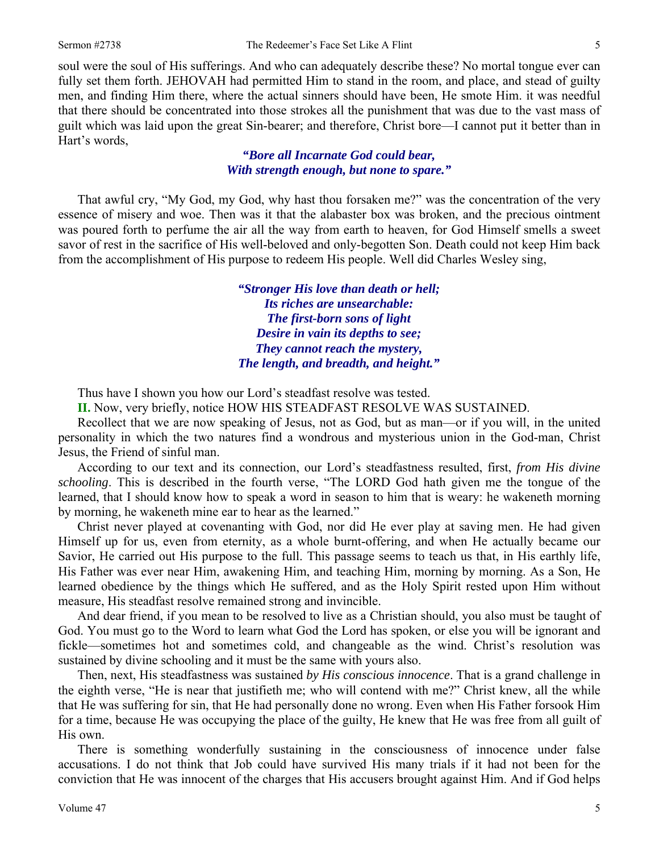soul were the soul of His sufferings. And who can adequately describe these? No mortal tongue ever can fully set them forth. JEHOVAH had permitted Him to stand in the room, and place, and stead of guilty men, and finding Him there, where the actual sinners should have been, He smote Him. it was needful that there should be concentrated into those strokes all the punishment that was due to the vast mass of guilt which was laid upon the great Sin-bearer; and therefore, Christ bore—I cannot put it better than in Hart's words,

> *"Bore all Incarnate God could bear, With strength enough, but none to spare."*

That awful cry, "My God, my God, why hast thou forsaken me?" was the concentration of the very essence of misery and woe. Then was it that the alabaster box was broken, and the precious ointment was poured forth to perfume the air all the way from earth to heaven, for God Himself smells a sweet savor of rest in the sacrifice of His well-beloved and only-begotten Son. Death could not keep Him back from the accomplishment of His purpose to redeem His people. Well did Charles Wesley sing,

> *"Stronger His love than death or hell; Its riches are unsearchable: The first-born sons of light Desire in vain its depths to see; They cannot reach the mystery, The length, and breadth, and height."*

Thus have I shown you how our Lord's steadfast resolve was tested.

**II.** Now, very briefly, notice HOW HIS STEADFAST RESOLVE WAS SUSTAINED.

Recollect that we are now speaking of Jesus, not as God, but as man—or if you will, in the united personality in which the two natures find a wondrous and mysterious union in the God-man, Christ Jesus, the Friend of sinful man.

According to our text and its connection, our Lord's steadfastness resulted, first, *from His divine schooling*. This is described in the fourth verse, "The LORD God hath given me the tongue of the learned, that I should know how to speak a word in season to him that is weary: he wakeneth morning by morning, he wakeneth mine ear to hear as the learned."

Christ never played at covenanting with God, nor did He ever play at saving men. He had given Himself up for us, even from eternity, as a whole burnt-offering, and when He actually became our Savior, He carried out His purpose to the full. This passage seems to teach us that, in His earthly life, His Father was ever near Him, awakening Him, and teaching Him, morning by morning. As a Son, He learned obedience by the things which He suffered, and as the Holy Spirit rested upon Him without measure, His steadfast resolve remained strong and invincible.

And dear friend, if you mean to be resolved to live as a Christian should, you also must be taught of God. You must go to the Word to learn what God the Lord has spoken, or else you will be ignorant and fickle—sometimes hot and sometimes cold, and changeable as the wind. Christ's resolution was sustained by divine schooling and it must be the same with yours also.

Then, next, His steadfastness was sustained *by His conscious innocence*. That is a grand challenge in the eighth verse, "He is near that justifieth me; who will contend with me?" Christ knew, all the while that He was suffering for sin, that He had personally done no wrong. Even when His Father forsook Him for a time, because He was occupying the place of the guilty, He knew that He was free from all guilt of His own.

There is something wonderfully sustaining in the consciousness of innocence under false accusations. I do not think that Job could have survived His many trials if it had not been for the conviction that He was innocent of the charges that His accusers brought against Him. And if God helps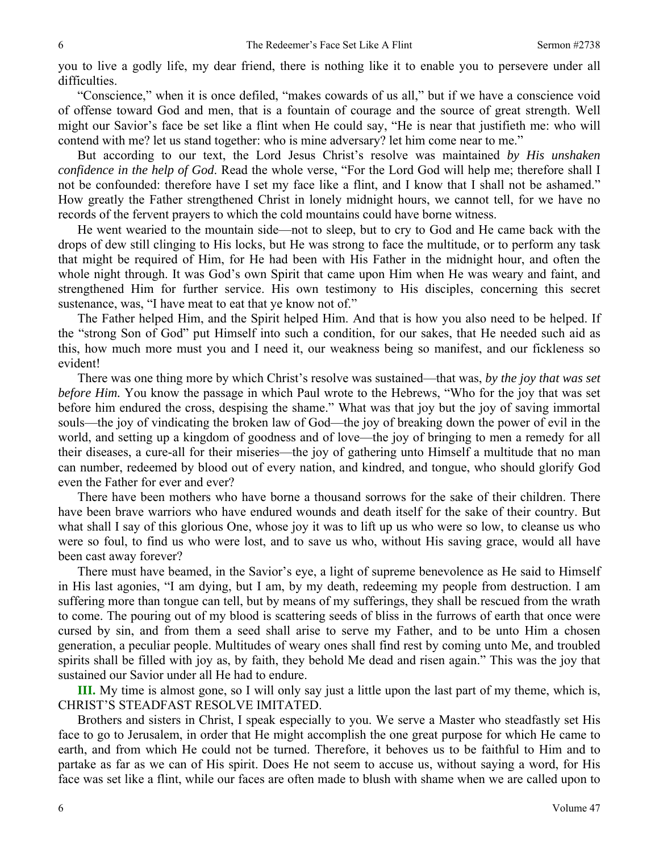you to live a godly life, my dear friend, there is nothing like it to enable you to persevere under all difficulties.

"Conscience," when it is once defiled, "makes cowards of us all," but if we have a conscience void of offense toward God and men, that is a fountain of courage and the source of great strength. Well might our Savior's face be set like a flint when He could say, "He is near that justifieth me: who will contend with me? let us stand together: who is mine adversary? let him come near to me."

But according to our text, the Lord Jesus Christ's resolve was maintained *by His unshaken confidence in the help of God*. Read the whole verse, "For the Lord God will help me; therefore shall I not be confounded: therefore have I set my face like a flint, and I know that I shall not be ashamed." How greatly the Father strengthened Christ in lonely midnight hours, we cannot tell, for we have no records of the fervent prayers to which the cold mountains could have borne witness.

He went wearied to the mountain side—not to sleep, but to cry to God and He came back with the drops of dew still clinging to His locks, but He was strong to face the multitude, or to perform any task that might be required of Him, for He had been with His Father in the midnight hour, and often the whole night through. It was God's own Spirit that came upon Him when He was weary and faint, and strengthened Him for further service. His own testimony to His disciples, concerning this secret sustenance, was, "I have meat to eat that ye know not of."

The Father helped Him, and the Spirit helped Him. And that is how you also need to be helped. If the "strong Son of God" put Himself into such a condition, for our sakes, that He needed such aid as this, how much more must you and I need it, our weakness being so manifest, and our fickleness so evident!

There was one thing more by which Christ's resolve was sustained—that was, *by the joy that was set before Him.* You know the passage in which Paul wrote to the Hebrews, "Who for the joy that was set before him endured the cross, despising the shame." What was that joy but the joy of saving immortal souls—the joy of vindicating the broken law of God—the joy of breaking down the power of evil in the world, and setting up a kingdom of goodness and of love—the joy of bringing to men a remedy for all their diseases, a cure-all for their miseries—the joy of gathering unto Himself a multitude that no man can number, redeemed by blood out of every nation, and kindred, and tongue, who should glorify God even the Father for ever and ever?

There have been mothers who have borne a thousand sorrows for the sake of their children. There have been brave warriors who have endured wounds and death itself for the sake of their country. But what shall I say of this glorious One, whose joy it was to lift up us who were so low, to cleanse us who were so foul, to find us who were lost, and to save us who, without His saving grace, would all have been cast away forever?

There must have beamed, in the Savior's eye, a light of supreme benevolence as He said to Himself in His last agonies, "I am dying, but I am, by my death, redeeming my people from destruction. I am suffering more than tongue can tell, but by means of my sufferings, they shall be rescued from the wrath to come. The pouring out of my blood is scattering seeds of bliss in the furrows of earth that once were cursed by sin, and from them a seed shall arise to serve my Father, and to be unto Him a chosen generation, a peculiar people. Multitudes of weary ones shall find rest by coming unto Me, and troubled spirits shall be filled with joy as, by faith, they behold Me dead and risen again." This was the joy that sustained our Savior under all He had to endure.

**III.** My time is almost gone, so I will only say just a little upon the last part of my theme, which is, CHRIST'S STEADFAST RESOLVE IMITATED.

Brothers and sisters in Christ, I speak especially to you. We serve a Master who steadfastly set His face to go to Jerusalem, in order that He might accomplish the one great purpose for which He came to earth, and from which He could not be turned. Therefore, it behoves us to be faithful to Him and to partake as far as we can of His spirit. Does He not seem to accuse us, without saying a word, for His face was set like a flint, while our faces are often made to blush with shame when we are called upon to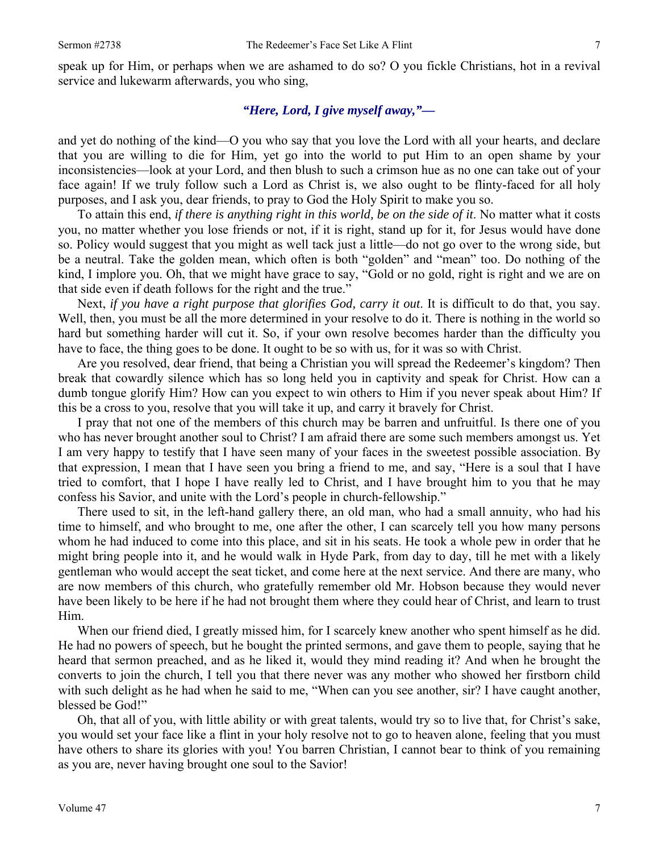speak up for Him, or perhaps when we are ashamed to do so? O you fickle Christians, hot in a revival service and lukewarm afterwards, you who sing,

# *"Here, Lord, I give myself away,"—*

and yet do nothing of the kind—O you who say that you love the Lord with all your hearts, and declare that you are willing to die for Him, yet go into the world to put Him to an open shame by your inconsistencies—look at your Lord, and then blush to such a crimson hue as no one can take out of your face again! If we truly follow such a Lord as Christ is, we also ought to be flinty-faced for all holy purposes, and I ask you, dear friends, to pray to God the Holy Spirit to make you so.

To attain this end, *if there is anything right in this world, be on the side of it*. No matter what it costs you, no matter whether you lose friends or not, if it is right, stand up for it, for Jesus would have done so. Policy would suggest that you might as well tack just a little—do not go over to the wrong side, but be a neutral. Take the golden mean, which often is both "golden" and "mean" too. Do nothing of the kind, I implore you. Oh, that we might have grace to say, "Gold or no gold, right is right and we are on that side even if death follows for the right and the true."

Next, *if you have a right purpose that glorifies God, carry it out*. It is difficult to do that, you say. Well, then, you must be all the more determined in your resolve to do it. There is nothing in the world so hard but something harder will cut it. So, if your own resolve becomes harder than the difficulty you have to face, the thing goes to be done. It ought to be so with us, for it was so with Christ.

Are you resolved, dear friend, that being a Christian you will spread the Redeemer's kingdom? Then break that cowardly silence which has so long held you in captivity and speak for Christ. How can a dumb tongue glorify Him? How can you expect to win others to Him if you never speak about Him? If this be a cross to you, resolve that you will take it up, and carry it bravely for Christ.

I pray that not one of the members of this church may be barren and unfruitful. Is there one of you who has never brought another soul to Christ? I am afraid there are some such members amongst us. Yet I am very happy to testify that I have seen many of your faces in the sweetest possible association. By that expression, I mean that I have seen you bring a friend to me, and say, "Here is a soul that I have tried to comfort, that I hope I have really led to Christ, and I have brought him to you that he may confess his Savior, and unite with the Lord's people in church-fellowship."

There used to sit, in the left-hand gallery there, an old man, who had a small annuity, who had his time to himself, and who brought to me, one after the other, I can scarcely tell you how many persons whom he had induced to come into this place, and sit in his seats. He took a whole pew in order that he might bring people into it, and he would walk in Hyde Park, from day to day, till he met with a likely gentleman who would accept the seat ticket, and come here at the next service. And there are many, who are now members of this church, who gratefully remember old Mr. Hobson because they would never have been likely to be here if he had not brought them where they could hear of Christ, and learn to trust Him.

When our friend died, I greatly missed him, for I scarcely knew another who spent himself as he did. He had no powers of speech, but he bought the printed sermons, and gave them to people, saying that he heard that sermon preached, and as he liked it, would they mind reading it? And when he brought the converts to join the church, I tell you that there never was any mother who showed her firstborn child with such delight as he had when he said to me, "When can you see another, sir? I have caught another, blessed be God!"

Oh, that all of you, with little ability or with great talents, would try so to live that, for Christ's sake, you would set your face like a flint in your holy resolve not to go to heaven alone, feeling that you must have others to share its glories with you! You barren Christian, I cannot bear to think of you remaining as you are, never having brought one soul to the Savior!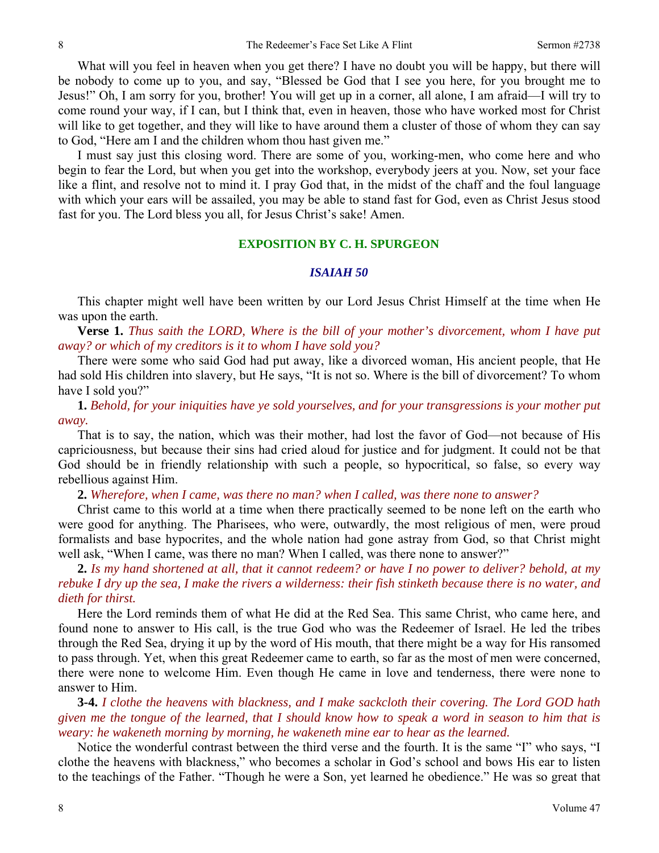What will you feel in heaven when you get there? I have no doubt you will be happy, but there will be nobody to come up to you, and say, "Blessed be God that I see you here, for you brought me to Jesus!" Oh, I am sorry for you, brother! You will get up in a corner, all alone, I am afraid—I will try to come round your way, if I can, but I think that, even in heaven, those who have worked most for Christ will like to get together, and they will like to have around them a cluster of those of whom they can say to God, "Here am I and the children whom thou hast given me."

I must say just this closing word. There are some of you, working-men, who come here and who begin to fear the Lord, but when you get into the workshop, everybody jeers at you. Now, set your face like a flint, and resolve not to mind it. I pray God that, in the midst of the chaff and the foul language with which your ears will be assailed, you may be able to stand fast for God, even as Christ Jesus stood fast for you. The Lord bless you all, for Jesus Christ's sake! Amen.

### **EXPOSITION BY C. H. SPURGEON**

#### *ISAIAH 50*

This chapter might well have been written by our Lord Jesus Christ Himself at the time when He was upon the earth.

**Verse 1.** *Thus saith the LORD, Where is the bill of your mother's divorcement, whom I have put away? or which of my creditors is it to whom I have sold you?*

There were some who said God had put away, like a divorced woman, His ancient people, that He had sold His children into slavery, but He says, "It is not so. Where is the bill of divorcement? To whom have I sold you?"

**1.** *Behold, for your iniquities have ye sold yourselves, and for your transgressions is your mother put away.*

That is to say, the nation, which was their mother, had lost the favor of God—not because of His capriciousness, but because their sins had cried aloud for justice and for judgment. It could not be that God should be in friendly relationship with such a people, so hypocritical, so false, so every way rebellious against Him.

**2.** *Wherefore, when I came, was there no man? when I called, was there none to answer?*

Christ came to this world at a time when there practically seemed to be none left on the earth who were good for anything. The Pharisees, who were, outwardly, the most religious of men, were proud formalists and base hypocrites, and the whole nation had gone astray from God, so that Christ might well ask, "When I came, was there no man? When I called, was there none to answer?"

**2.** *Is my hand shortened at all, that it cannot redeem? or have I no power to deliver? behold, at my rebuke I dry up the sea, I make the rivers a wilderness: their fish stinketh because there is no water, and dieth for thirst.*

Here the Lord reminds them of what He did at the Red Sea. This same Christ, who came here, and found none to answer to His call, is the true God who was the Redeemer of Israel. He led the tribes through the Red Sea, drying it up by the word of His mouth, that there might be a way for His ransomed to pass through. Yet, when this great Redeemer came to earth, so far as the most of men were concerned, there were none to welcome Him. Even though He came in love and tenderness, there were none to answer to Him.

**3-4.** *I clothe the heavens with blackness, and I make sackcloth their covering. The Lord GOD hath given me the tongue of the learned, that I should know how to speak a word in season to him that is weary: he wakeneth morning by morning, he wakeneth mine ear to hear as the learned.* 

Notice the wonderful contrast between the third verse and the fourth. It is the same "I" who says, "I clothe the heavens with blackness," who becomes a scholar in God's school and bows His ear to listen to the teachings of the Father. "Though he were a Son, yet learned he obedience." He was so great that